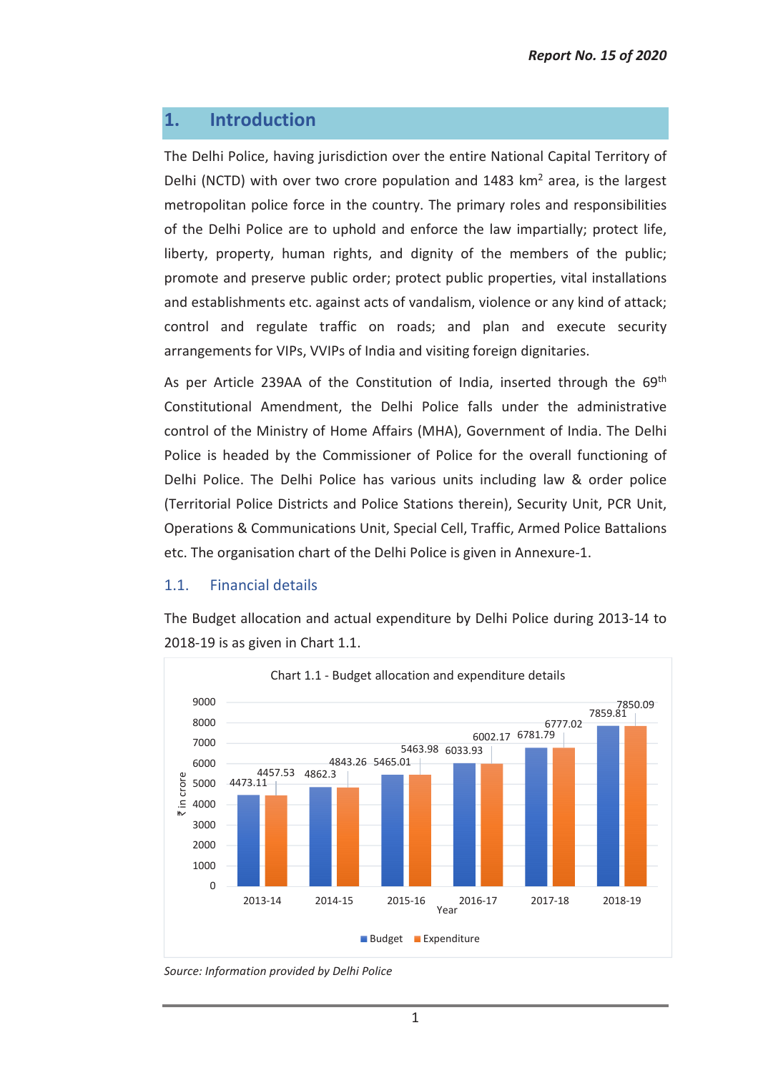# **1. Introduction**

The Delhi Police, having jurisdiction over the entire National Capital Territory of Delhi (NCTD) with over two crore population and 1483 km<sup>2</sup> area, is the largest metropolitan police force in the country. The primary roles and responsibilities of the Delhi Police are to uphold and enforce the law impartially; protect life, liberty, property, human rights, and dignity of the members of the public; promote and preserve public order; protect public properties, vital installations and establishments etc. against acts of vandalism, violence or any kind of attack; control and regulate traffic on roads; and plan and execute security arrangements for VIPs, VVIPs of India and visiting foreign dignitaries.

As per Article 239AA of the Constitution of India, inserted through the 69<sup>th</sup> Constitutional Amendment, the Delhi Police falls under the administrative control of the Ministry of Home Affairs (MHA), Government of India. The Delhi Police is headed by the Commissioner of Police for the overall functioning of Delhi Police. The Delhi Police has various units including law & order police (Territorial Police Districts and Police Stations therein), Security Unit, PCR Unit, Operations & Communications Unit, Special Cell, Traffic, Armed Police Battalions etc. The organisation chart of the Delhi Police is given in Annexure-1.

## 1.1. Financial details

The Budget allocation and actual expenditure by Delhi Police during 2013-14 to 2018-19 is as given in Chart 1.1.



*Source: Information provided by Delhi Police*